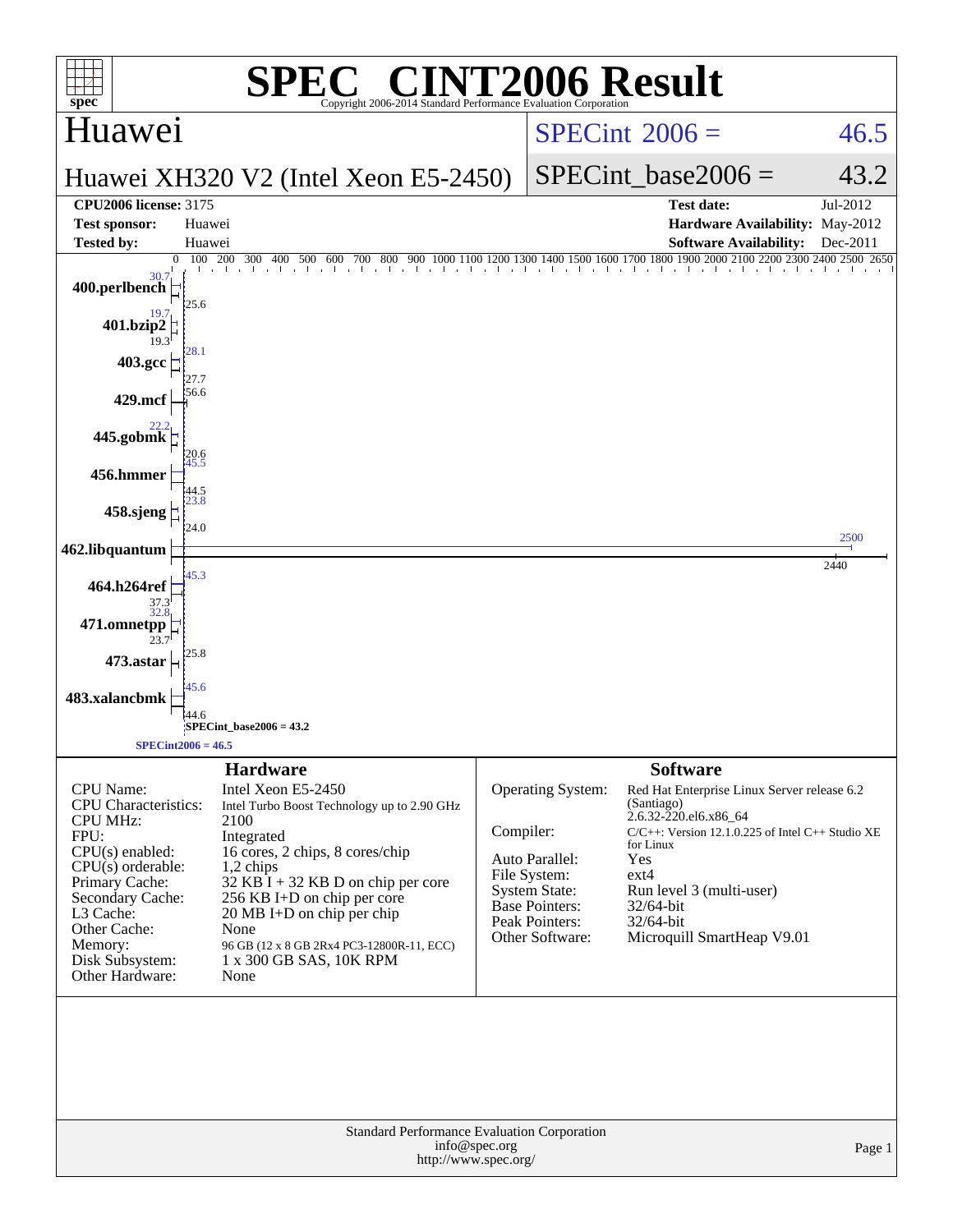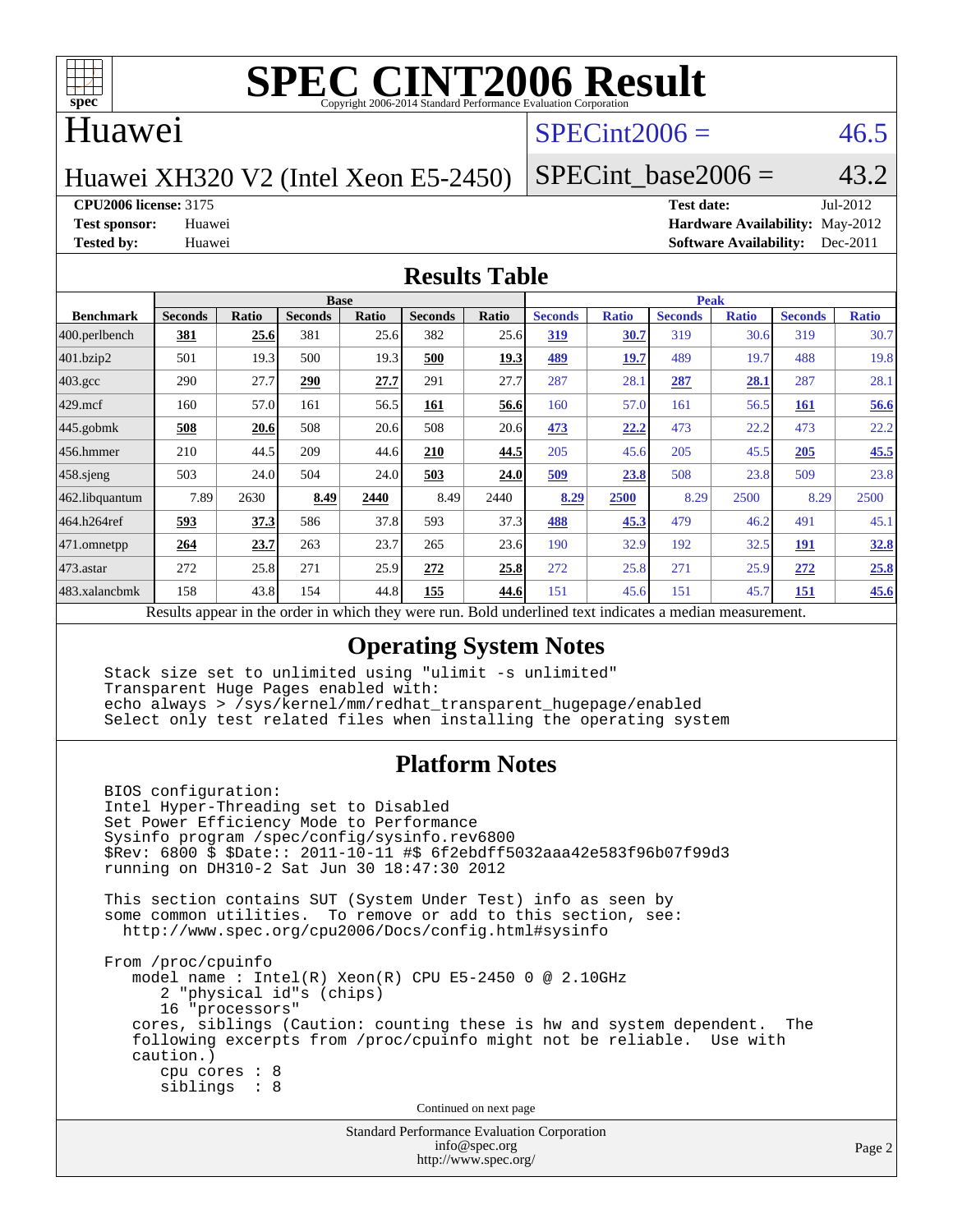

### Huawei

## $SPECint2006 = 46.5$  $SPECint2006 = 46.5$

Huawei XH320 V2 (Intel Xeon E5-2450)

SPECint base2006 =  $43.2$ 

**[CPU2006 license:](http://www.spec.org/auto/cpu2006/Docs/result-fields.html#CPU2006license)** 3175 **[Test date:](http://www.spec.org/auto/cpu2006/Docs/result-fields.html#Testdate)** Jul-2012

**[Test sponsor:](http://www.spec.org/auto/cpu2006/Docs/result-fields.html#Testsponsor)** Huawei **[Hardware Availability:](http://www.spec.org/auto/cpu2006/Docs/result-fields.html#HardwareAvailability)** May-2012 **[Tested by:](http://www.spec.org/auto/cpu2006/Docs/result-fields.html#Testedby)** Huawei **[Software Availability:](http://www.spec.org/auto/cpu2006/Docs/result-fields.html#SoftwareAvailability)** Dec-2011

### **[Results Table](http://www.spec.org/auto/cpu2006/Docs/result-fields.html#ResultsTable)**

|                                                                                                          | <b>Base</b>    |              |                |       |                | <b>Peak</b> |                |              |                |              |                |              |
|----------------------------------------------------------------------------------------------------------|----------------|--------------|----------------|-------|----------------|-------------|----------------|--------------|----------------|--------------|----------------|--------------|
| <b>Benchmark</b>                                                                                         | <b>Seconds</b> | <b>Ratio</b> | <b>Seconds</b> | Ratio | <b>Seconds</b> | Ratio       | <b>Seconds</b> | <b>Ratio</b> | <b>Seconds</b> | <b>Ratio</b> | <b>Seconds</b> | <b>Ratio</b> |
| 400.perlbench                                                                                            | 381            | 25.6         | 381            | 25.6  | 382            | 25.6        | 319            | 30.7         | 319            | 30.6         | 319            | 30.7         |
| 401.bzip2                                                                                                | 501            | 19.3         | 500            | 19.3  | 500            | 19.3        | 489            | 19.7         | 489            | 19.7         | 488            | 19.8         |
| $403.\mathrm{gcc}$                                                                                       | 290            | 27.7         | 290            | 27.7  | 291            | 27.7        | 287            | 28.1         | 287            | 28.1         | 287            | 28.1         |
| $429$ mcf                                                                                                | 160            | 57.0         | 161            | 56.5  | 161            | 56.6        | 160            | 57.0         | 161            | 56.5         | <b>161</b>     | 56.6         |
| $445$ .gobmk                                                                                             | 508            | 20.6         | 508            | 20.6  | 508            | 20.6        | 473            | 22.2         | 473            | 22.2         | 473            | 22.2         |
| 456.hmmer                                                                                                | 210            | 44.5         | 209            | 44.6  | 210            | 44.5        | 205            | 45.6         | 205            | 45.5         | 205            | 45.5         |
| $458$ .sjeng                                                                                             | 503            | 24.0         | 504            | 24.0  | 503            | 24.0        | 509            | 23.8         | 508            | 23.8         | 509            | 23.8         |
| 462.libquantum                                                                                           | 7.89           | 2630         | 8.49           | 2440  | 8.49           | 2440        | 8.29           | 2500         | 8.29           | 2500         | 8.29           | 2500         |
| 464.h264ref                                                                                              | 593            | 37.3         | 586            | 37.8  | 593            | 37.3        | 488            | 45.3         | 479            | 46.2         | 491            | 45.1         |
| 471.omnetpp                                                                                              | 264            | 23.7         | 263            | 23.7  | 265            | 23.6        | 190            | 32.9         | 192            | 32.5         | 191            | <u>32.8</u>  |
| $473$ . astar                                                                                            | 272            | 25.8         | 271            | 25.9  | 272            | 25.8        | 272            | 25.8         | 271            | 25.9         | 272            | 25.8         |
| 483.xalancbmk                                                                                            | 158            | 43.8         | 154            | 44.8  | 155            | 44.6        | 151            | 45.6         | 151            | 45.7         | 151            | 45.6         |
| Results appear in the order in which they were run. Bold underlined text indicates a median measurement. |                |              |                |       |                |             |                |              |                |              |                |              |

### **[Operating System Notes](http://www.spec.org/auto/cpu2006/Docs/result-fields.html#OperatingSystemNotes)**

 Stack size set to unlimited using "ulimit -s unlimited" Transparent Huge Pages enabled with: echo always > /sys/kernel/mm/redhat\_transparent\_hugepage/enabled Select only test related files when installing the operating system

### **[Platform Notes](http://www.spec.org/auto/cpu2006/Docs/result-fields.html#PlatformNotes)**

 BIOS configuration: Intel Hyper-Threading set to Disabled Set Power Efficiency Mode to Performance Sysinfo program /spec/config/sysinfo.rev6800 \$Rev: 6800 \$ \$Date:: 2011-10-11 #\$ 6f2ebdff5032aaa42e583f96b07f99d3 running on DH310-2 Sat Jun 30 18:47:30 2012 This section contains SUT (System Under Test) info as seen by some common utilities. To remove or add to this section, see: <http://www.spec.org/cpu2006/Docs/config.html#sysinfo> From /proc/cpuinfo model name : Intel(R) Xeon(R) CPU E5-2450 0 @ 2.10GHz 2 "physical id"s (chips) 16 "processors" cores, siblings (Caution: counting these is hw and system dependent. The following excerpts from /proc/cpuinfo might not be reliable. Use with caution.) cpu cores : 8 siblings : 8 Continued on next page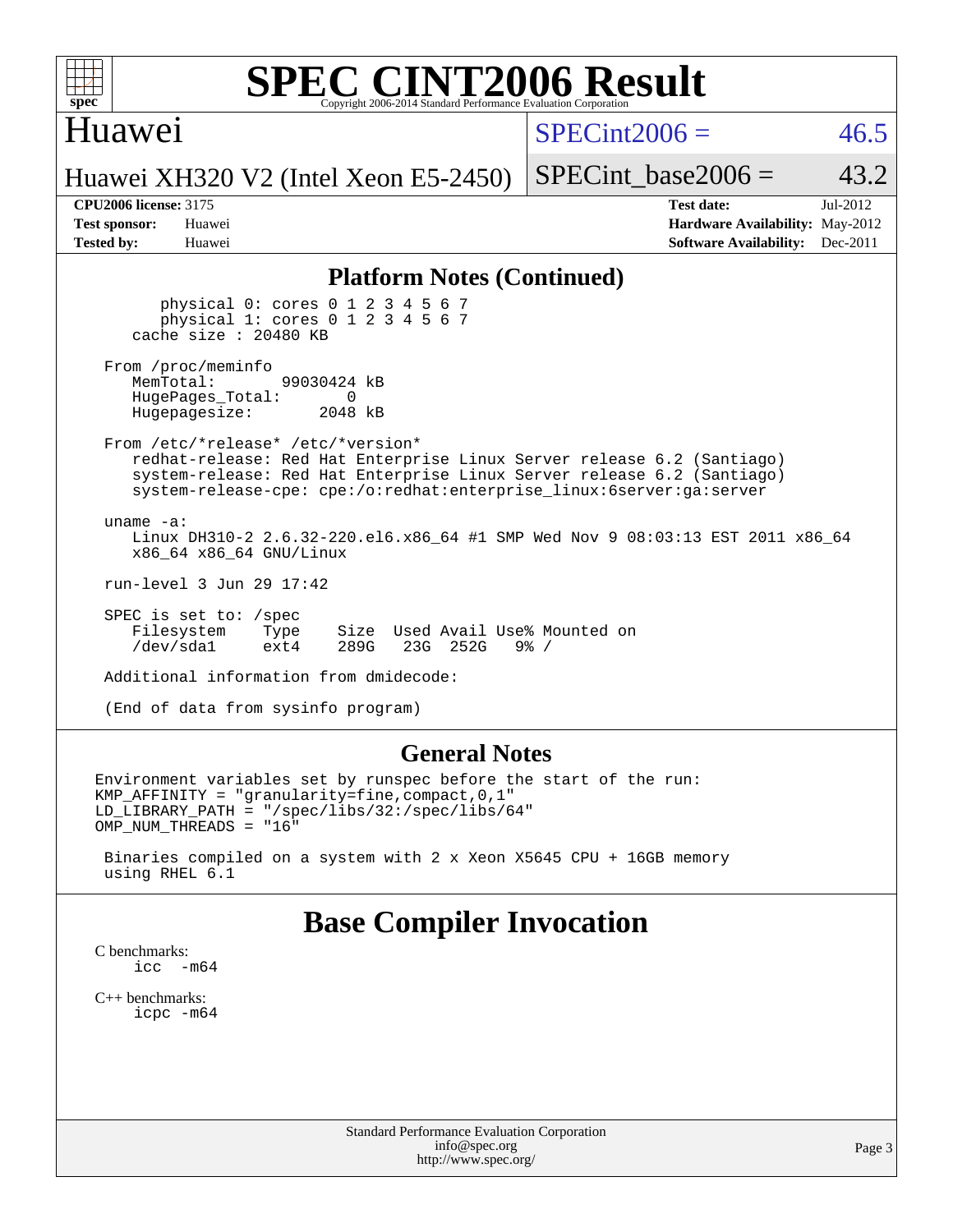### Huawei

 $SPECint2006 = 46.5$  $SPECint2006 = 46.5$ 

Huawei XH320 V2 (Intel Xeon E5-2450)

SPECint base2006 =  $43.2$ 

| <b>Test sponsor:</b> | Huawei |
|----------------------|--------|
| <b>Tested by:</b>    | Huawei |

**[CPU2006 license:](http://www.spec.org/auto/cpu2006/Docs/result-fields.html#CPU2006license)** 3175 **[Test date:](http://www.spec.org/auto/cpu2006/Docs/result-fields.html#Testdate)** Jul-2012 **[Hardware Availability:](http://www.spec.org/auto/cpu2006/Docs/result-fields.html#HardwareAvailability)** May-2012 **[Software Availability:](http://www.spec.org/auto/cpu2006/Docs/result-fields.html#SoftwareAvailability)** Dec-2011

### **[Platform Notes \(Continued\)](http://www.spec.org/auto/cpu2006/Docs/result-fields.html#PlatformNotes)**

 physical 0: cores 0 1 2 3 4 5 6 7 physical 1: cores 0 1 2 3 4 5 6 7 cache size : 20480 KB

From /proc/meminfo<br>MemTotal: 99030424 kB HugePages\_Total: 0<br>Hugepagesize: 2048 kB Hugepagesize:

 From /etc/\*release\* /etc/\*version\* redhat-release: Red Hat Enterprise Linux Server release 6.2 (Santiago) system-release: Red Hat Enterprise Linux Server release 6.2 (Santiago) system-release-cpe: cpe:/o:redhat:enterprise\_linux:6server:ga:server

 uname -a: Linux DH310-2 2.6.32-220.el6.x86\_64 #1 SMP Wed Nov 9 08:03:13 EST 2011 x86\_64 x86\_64 x86\_64 GNU/Linux

run-level 3 Jun 29 17:42

 SPEC is set to: /spec Filesystem Type Size Used Avail Use% Mounted on<br>
/dev/sda1 ext4 289G 23G 252G 9% / ext4 289G 23G 252G

Additional information from dmidecode:

(End of data from sysinfo program)

### **[General Notes](http://www.spec.org/auto/cpu2006/Docs/result-fields.html#GeneralNotes)**

Environment variables set by runspec before the start of the run: KMP\_AFFINITY = "granularity=fine,compact,0,1" LD\_LIBRARY\_PATH = "/spec/libs/32:/spec/libs/64" OMP\_NUM\_THREADS = "16"

 Binaries compiled on a system with 2 x Xeon X5645 CPU + 16GB memory using RHEL 6.1

## **[Base Compiler Invocation](http://www.spec.org/auto/cpu2006/Docs/result-fields.html#BaseCompilerInvocation)**

[C benchmarks](http://www.spec.org/auto/cpu2006/Docs/result-fields.html#Cbenchmarks): icc  $-m64$ 

[C++ benchmarks:](http://www.spec.org/auto/cpu2006/Docs/result-fields.html#CXXbenchmarks) [icpc -m64](http://www.spec.org/cpu2006/results/res2012q3/cpu2006-20120723-23817.flags.html#user_CXXbase_intel_icpc_64bit_fc66a5337ce925472a5c54ad6a0de310)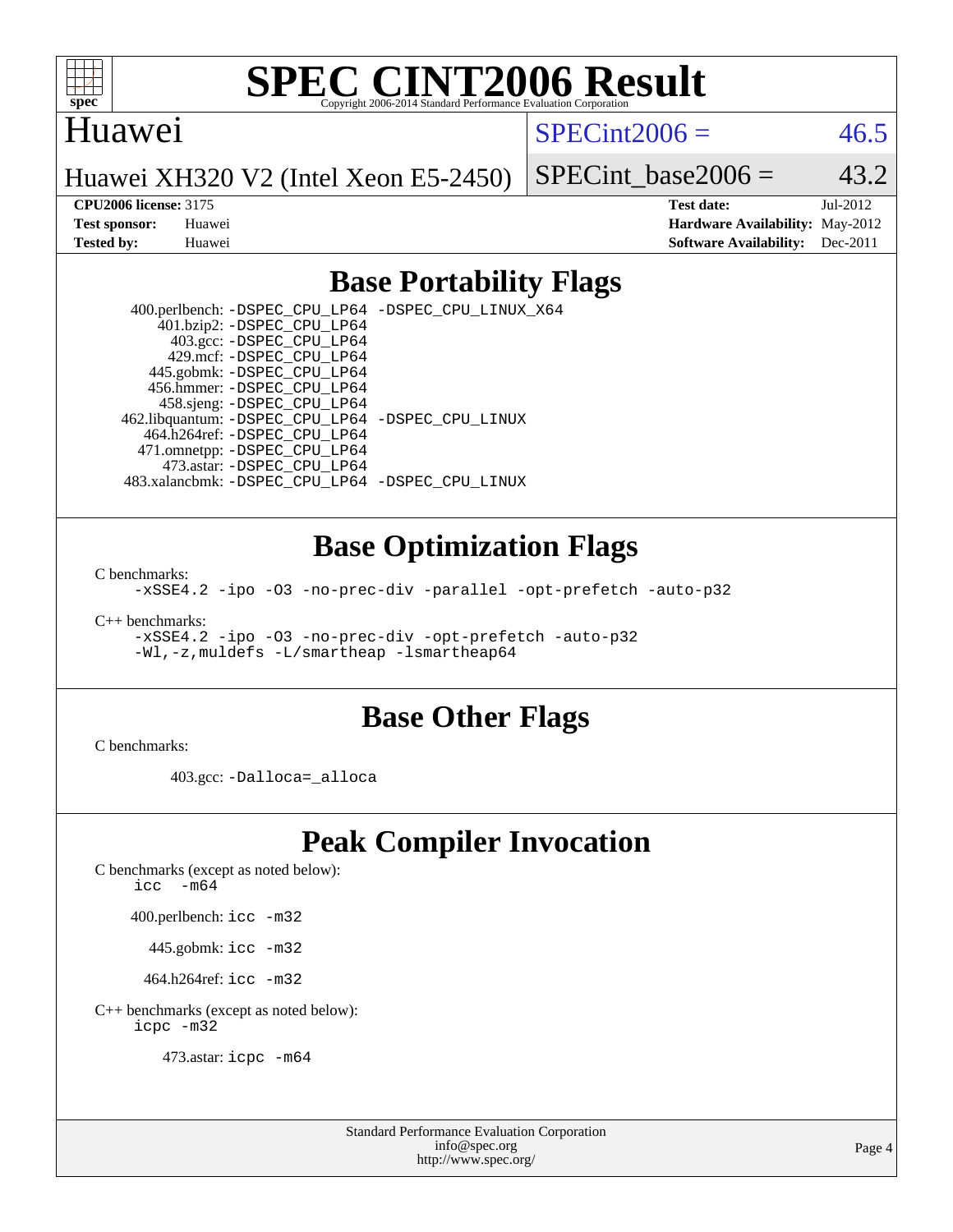

### Huawei

 $SPECint2006 = 46.5$  $SPECint2006 = 46.5$ 

Huawei XH320 V2 (Intel Xeon E5-2450)

SPECint base2006 =  $43.2$ 

**[CPU2006 license:](http://www.spec.org/auto/cpu2006/Docs/result-fields.html#CPU2006license)** 3175 **[Test date:](http://www.spec.org/auto/cpu2006/Docs/result-fields.html#Testdate)** Jul-2012 **[Test sponsor:](http://www.spec.org/auto/cpu2006/Docs/result-fields.html#Testsponsor)** Huawei **[Hardware Availability:](http://www.spec.org/auto/cpu2006/Docs/result-fields.html#HardwareAvailability)** May-2012 **[Tested by:](http://www.spec.org/auto/cpu2006/Docs/result-fields.html#Testedby)** Huawei **[Software Availability:](http://www.spec.org/auto/cpu2006/Docs/result-fields.html#SoftwareAvailability)** Dec-2011

### **[Base Portability Flags](http://www.spec.org/auto/cpu2006/Docs/result-fields.html#BasePortabilityFlags)**

 400.perlbench: [-DSPEC\\_CPU\\_LP64](http://www.spec.org/cpu2006/results/res2012q3/cpu2006-20120723-23817.flags.html#b400.perlbench_basePORTABILITY_DSPEC_CPU_LP64) [-DSPEC\\_CPU\\_LINUX\\_X64](http://www.spec.org/cpu2006/results/res2012q3/cpu2006-20120723-23817.flags.html#b400.perlbench_baseCPORTABILITY_DSPEC_CPU_LINUX_X64) 401.bzip2: [-DSPEC\\_CPU\\_LP64](http://www.spec.org/cpu2006/results/res2012q3/cpu2006-20120723-23817.flags.html#suite_basePORTABILITY401_bzip2_DSPEC_CPU_LP64) 403.gcc: [-DSPEC\\_CPU\\_LP64](http://www.spec.org/cpu2006/results/res2012q3/cpu2006-20120723-23817.flags.html#suite_basePORTABILITY403_gcc_DSPEC_CPU_LP64) 429.mcf: [-DSPEC\\_CPU\\_LP64](http://www.spec.org/cpu2006/results/res2012q3/cpu2006-20120723-23817.flags.html#suite_basePORTABILITY429_mcf_DSPEC_CPU_LP64) 445.gobmk: [-DSPEC\\_CPU\\_LP64](http://www.spec.org/cpu2006/results/res2012q3/cpu2006-20120723-23817.flags.html#suite_basePORTABILITY445_gobmk_DSPEC_CPU_LP64) 456.hmmer: [-DSPEC\\_CPU\\_LP64](http://www.spec.org/cpu2006/results/res2012q3/cpu2006-20120723-23817.flags.html#suite_basePORTABILITY456_hmmer_DSPEC_CPU_LP64) 458.sjeng: [-DSPEC\\_CPU\\_LP64](http://www.spec.org/cpu2006/results/res2012q3/cpu2006-20120723-23817.flags.html#suite_basePORTABILITY458_sjeng_DSPEC_CPU_LP64) 462.libquantum: [-DSPEC\\_CPU\\_LP64](http://www.spec.org/cpu2006/results/res2012q3/cpu2006-20120723-23817.flags.html#suite_basePORTABILITY462_libquantum_DSPEC_CPU_LP64) [-DSPEC\\_CPU\\_LINUX](http://www.spec.org/cpu2006/results/res2012q3/cpu2006-20120723-23817.flags.html#b462.libquantum_baseCPORTABILITY_DSPEC_CPU_LINUX) 464.h264ref: [-DSPEC\\_CPU\\_LP64](http://www.spec.org/cpu2006/results/res2012q3/cpu2006-20120723-23817.flags.html#suite_basePORTABILITY464_h264ref_DSPEC_CPU_LP64) 471.omnetpp: [-DSPEC\\_CPU\\_LP64](http://www.spec.org/cpu2006/results/res2012q3/cpu2006-20120723-23817.flags.html#suite_basePORTABILITY471_omnetpp_DSPEC_CPU_LP64) 473.astar: [-DSPEC\\_CPU\\_LP64](http://www.spec.org/cpu2006/results/res2012q3/cpu2006-20120723-23817.flags.html#suite_basePORTABILITY473_astar_DSPEC_CPU_LP64) 483.xalancbmk: [-DSPEC\\_CPU\\_LP64](http://www.spec.org/cpu2006/results/res2012q3/cpu2006-20120723-23817.flags.html#suite_basePORTABILITY483_xalancbmk_DSPEC_CPU_LP64) [-DSPEC\\_CPU\\_LINUX](http://www.spec.org/cpu2006/results/res2012q3/cpu2006-20120723-23817.flags.html#b483.xalancbmk_baseCXXPORTABILITY_DSPEC_CPU_LINUX)

### **[Base Optimization Flags](http://www.spec.org/auto/cpu2006/Docs/result-fields.html#BaseOptimizationFlags)**

[C benchmarks](http://www.spec.org/auto/cpu2006/Docs/result-fields.html#Cbenchmarks):

[-xSSE4.2](http://www.spec.org/cpu2006/results/res2012q3/cpu2006-20120723-23817.flags.html#user_CCbase_f-xSSE42_f91528193cf0b216347adb8b939d4107) [-ipo](http://www.spec.org/cpu2006/results/res2012q3/cpu2006-20120723-23817.flags.html#user_CCbase_f-ipo) [-O3](http://www.spec.org/cpu2006/results/res2012q3/cpu2006-20120723-23817.flags.html#user_CCbase_f-O3) [-no-prec-div](http://www.spec.org/cpu2006/results/res2012q3/cpu2006-20120723-23817.flags.html#user_CCbase_f-no-prec-div) [-parallel](http://www.spec.org/cpu2006/results/res2012q3/cpu2006-20120723-23817.flags.html#user_CCbase_f-parallel) [-opt-prefetch](http://www.spec.org/cpu2006/results/res2012q3/cpu2006-20120723-23817.flags.html#user_CCbase_f-opt-prefetch) [-auto-p32](http://www.spec.org/cpu2006/results/res2012q3/cpu2006-20120723-23817.flags.html#user_CCbase_f-auto-p32)

[C++ benchmarks:](http://www.spec.org/auto/cpu2006/Docs/result-fields.html#CXXbenchmarks)

[-xSSE4.2](http://www.spec.org/cpu2006/results/res2012q3/cpu2006-20120723-23817.flags.html#user_CXXbase_f-xSSE42_f91528193cf0b216347adb8b939d4107) [-ipo](http://www.spec.org/cpu2006/results/res2012q3/cpu2006-20120723-23817.flags.html#user_CXXbase_f-ipo) [-O3](http://www.spec.org/cpu2006/results/res2012q3/cpu2006-20120723-23817.flags.html#user_CXXbase_f-O3) [-no-prec-div](http://www.spec.org/cpu2006/results/res2012q3/cpu2006-20120723-23817.flags.html#user_CXXbase_f-no-prec-div) [-opt-prefetch](http://www.spec.org/cpu2006/results/res2012q3/cpu2006-20120723-23817.flags.html#user_CXXbase_f-opt-prefetch) [-auto-p32](http://www.spec.org/cpu2006/results/res2012q3/cpu2006-20120723-23817.flags.html#user_CXXbase_f-auto-p32) [-Wl,-z,muldefs](http://www.spec.org/cpu2006/results/res2012q3/cpu2006-20120723-23817.flags.html#user_CXXbase_link_force_multiple1_74079c344b956b9658436fd1b6dd3a8a) [-L/smartheap -lsmartheap64](http://www.spec.org/cpu2006/results/res2012q3/cpu2006-20120723-23817.flags.html#user_CXXbase_SmartHeap64_5e654037dadeae1fe403ab4b4466e60b)

### **[Base Other Flags](http://www.spec.org/auto/cpu2006/Docs/result-fields.html#BaseOtherFlags)**

[C benchmarks](http://www.spec.org/auto/cpu2006/Docs/result-fields.html#Cbenchmarks):

403.gcc: [-Dalloca=\\_alloca](http://www.spec.org/cpu2006/results/res2012q3/cpu2006-20120723-23817.flags.html#b403.gcc_baseEXTRA_CFLAGS_Dalloca_be3056838c12de2578596ca5467af7f3)

## **[Peak Compiler Invocation](http://www.spec.org/auto/cpu2006/Docs/result-fields.html#PeakCompilerInvocation)**

[C benchmarks \(except as noted below\)](http://www.spec.org/auto/cpu2006/Docs/result-fields.html#Cbenchmarksexceptasnotedbelow):

icc  $-m64$ 

400.perlbench: [icc -m32](http://www.spec.org/cpu2006/results/res2012q3/cpu2006-20120723-23817.flags.html#user_peakCCLD400_perlbench_intel_icc_a6a621f8d50482236b970c6ac5f55f93)

445.gobmk: [icc -m32](http://www.spec.org/cpu2006/results/res2012q3/cpu2006-20120723-23817.flags.html#user_peakCCLD445_gobmk_intel_icc_a6a621f8d50482236b970c6ac5f55f93)

464.h264ref: [icc -m32](http://www.spec.org/cpu2006/results/res2012q3/cpu2006-20120723-23817.flags.html#user_peakCCLD464_h264ref_intel_icc_a6a621f8d50482236b970c6ac5f55f93)

[C++ benchmarks \(except as noted below\):](http://www.spec.org/auto/cpu2006/Docs/result-fields.html#CXXbenchmarksexceptasnotedbelow) [icpc -m32](http://www.spec.org/cpu2006/results/res2012q3/cpu2006-20120723-23817.flags.html#user_CXXpeak_intel_icpc_4e5a5ef1a53fd332b3c49e69c3330699)

473.astar: [icpc -m64](http://www.spec.org/cpu2006/results/res2012q3/cpu2006-20120723-23817.flags.html#user_peakCXXLD473_astar_intel_icpc_64bit_fc66a5337ce925472a5c54ad6a0de310)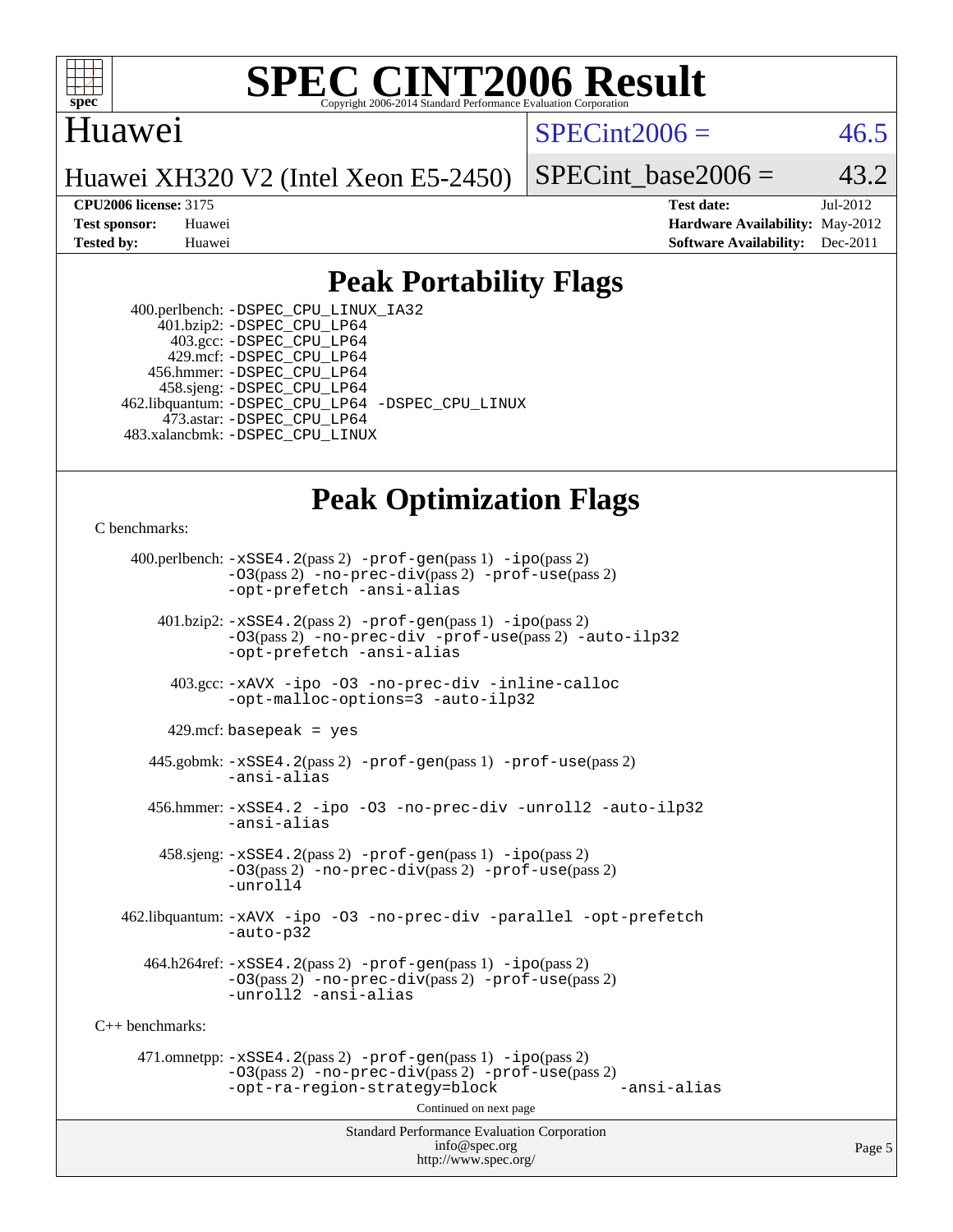

### Huawei

 $SPECint2006 = 46.5$  $SPECint2006 = 46.5$ 

Huawei XH320 V2 (Intel Xeon E5-2450)

SPECint base2006 =  $43.2$ 

**[CPU2006 license:](http://www.spec.org/auto/cpu2006/Docs/result-fields.html#CPU2006license)** 3175 **[Test date:](http://www.spec.org/auto/cpu2006/Docs/result-fields.html#Testdate)** Jul-2012 **[Test sponsor:](http://www.spec.org/auto/cpu2006/Docs/result-fields.html#Testsponsor)** Huawei **[Hardware Availability:](http://www.spec.org/auto/cpu2006/Docs/result-fields.html#HardwareAvailability)** May-2012 **[Tested by:](http://www.spec.org/auto/cpu2006/Docs/result-fields.html#Testedby)** Huawei **[Software Availability:](http://www.spec.org/auto/cpu2006/Docs/result-fields.html#SoftwareAvailability)** Dec-2011

## **[Peak Portability Flags](http://www.spec.org/auto/cpu2006/Docs/result-fields.html#PeakPortabilityFlags)**

 400.perlbench: [-DSPEC\\_CPU\\_LINUX\\_IA32](http://www.spec.org/cpu2006/results/res2012q3/cpu2006-20120723-23817.flags.html#b400.perlbench_peakCPORTABILITY_DSPEC_CPU_LINUX_IA32) 401.bzip2: [-DSPEC\\_CPU\\_LP64](http://www.spec.org/cpu2006/results/res2012q3/cpu2006-20120723-23817.flags.html#suite_peakPORTABILITY401_bzip2_DSPEC_CPU_LP64) 403.gcc: [-DSPEC\\_CPU\\_LP64](http://www.spec.org/cpu2006/results/res2012q3/cpu2006-20120723-23817.flags.html#suite_peakPORTABILITY403_gcc_DSPEC_CPU_LP64) 429.mcf: [-DSPEC\\_CPU\\_LP64](http://www.spec.org/cpu2006/results/res2012q3/cpu2006-20120723-23817.flags.html#suite_peakPORTABILITY429_mcf_DSPEC_CPU_LP64) 456.hmmer: [-DSPEC\\_CPU\\_LP64](http://www.spec.org/cpu2006/results/res2012q3/cpu2006-20120723-23817.flags.html#suite_peakPORTABILITY456_hmmer_DSPEC_CPU_LP64) 458.sjeng: [-DSPEC\\_CPU\\_LP64](http://www.spec.org/cpu2006/results/res2012q3/cpu2006-20120723-23817.flags.html#suite_peakPORTABILITY458_sjeng_DSPEC_CPU_LP64) 462.libquantum: [-DSPEC\\_CPU\\_LP64](http://www.spec.org/cpu2006/results/res2012q3/cpu2006-20120723-23817.flags.html#suite_peakPORTABILITY462_libquantum_DSPEC_CPU_LP64) [-DSPEC\\_CPU\\_LINUX](http://www.spec.org/cpu2006/results/res2012q3/cpu2006-20120723-23817.flags.html#b462.libquantum_peakCPORTABILITY_DSPEC_CPU_LINUX) 473.astar: [-DSPEC\\_CPU\\_LP64](http://www.spec.org/cpu2006/results/res2012q3/cpu2006-20120723-23817.flags.html#suite_peakPORTABILITY473_astar_DSPEC_CPU_LP64) 483.xalancbmk: [-DSPEC\\_CPU\\_LINUX](http://www.spec.org/cpu2006/results/res2012q3/cpu2006-20120723-23817.flags.html#b483.xalancbmk_peakCXXPORTABILITY_DSPEC_CPU_LINUX)

## **[Peak Optimization Flags](http://www.spec.org/auto/cpu2006/Docs/result-fields.html#PeakOptimizationFlags)**

[C benchmarks](http://www.spec.org/auto/cpu2006/Docs/result-fields.html#Cbenchmarks):

Standard Performance Evaluation Corporation [info@spec.org](mailto:info@spec.org) 400.perlbench: [-xSSE4.2](http://www.spec.org/cpu2006/results/res2012q3/cpu2006-20120723-23817.flags.html#user_peakPASS2_CFLAGSPASS2_LDCFLAGS400_perlbench_f-xSSE42_f91528193cf0b216347adb8b939d4107)(pass 2) [-prof-gen](http://www.spec.org/cpu2006/results/res2012q3/cpu2006-20120723-23817.flags.html#user_peakPASS1_CFLAGSPASS1_LDCFLAGS400_perlbench_prof_gen_e43856698f6ca7b7e442dfd80e94a8fc)(pass 1) [-ipo](http://www.spec.org/cpu2006/results/res2012q3/cpu2006-20120723-23817.flags.html#user_peakPASS2_CFLAGSPASS2_LDCFLAGS400_perlbench_f-ipo)(pass 2) [-O3](http://www.spec.org/cpu2006/results/res2012q3/cpu2006-20120723-23817.flags.html#user_peakPASS2_CFLAGSPASS2_LDCFLAGS400_perlbench_f-O3)(pass 2) [-no-prec-div](http://www.spec.org/cpu2006/results/res2012q3/cpu2006-20120723-23817.flags.html#user_peakPASS2_CFLAGSPASS2_LDCFLAGS400_perlbench_f-no-prec-div)(pass 2) [-prof-use](http://www.spec.org/cpu2006/results/res2012q3/cpu2006-20120723-23817.flags.html#user_peakPASS2_CFLAGSPASS2_LDCFLAGS400_perlbench_prof_use_bccf7792157ff70d64e32fe3e1250b55)(pass 2) [-opt-prefetch](http://www.spec.org/cpu2006/results/res2012q3/cpu2006-20120723-23817.flags.html#user_peakCOPTIMIZE400_perlbench_f-opt-prefetch) [-ansi-alias](http://www.spec.org/cpu2006/results/res2012q3/cpu2006-20120723-23817.flags.html#user_peakCOPTIMIZE400_perlbench_f-ansi-alias) 401.bzip2: [-xSSE4.2](http://www.spec.org/cpu2006/results/res2012q3/cpu2006-20120723-23817.flags.html#user_peakPASS2_CFLAGSPASS2_LDCFLAGS401_bzip2_f-xSSE42_f91528193cf0b216347adb8b939d4107)(pass 2) [-prof-gen](http://www.spec.org/cpu2006/results/res2012q3/cpu2006-20120723-23817.flags.html#user_peakPASS1_CFLAGSPASS1_LDCFLAGS401_bzip2_prof_gen_e43856698f6ca7b7e442dfd80e94a8fc)(pass 1) [-ipo](http://www.spec.org/cpu2006/results/res2012q3/cpu2006-20120723-23817.flags.html#user_peakPASS2_CFLAGSPASS2_LDCFLAGS401_bzip2_f-ipo)(pass 2) [-O3](http://www.spec.org/cpu2006/results/res2012q3/cpu2006-20120723-23817.flags.html#user_peakPASS2_CFLAGSPASS2_LDCFLAGS401_bzip2_f-O3)(pass 2) [-no-prec-div](http://www.spec.org/cpu2006/results/res2012q3/cpu2006-20120723-23817.flags.html#user_peakCOPTIMIZEPASS2_CFLAGSPASS2_LDCFLAGS401_bzip2_f-no-prec-div) [-prof-use](http://www.spec.org/cpu2006/results/res2012q3/cpu2006-20120723-23817.flags.html#user_peakPASS2_CFLAGSPASS2_LDCFLAGS401_bzip2_prof_use_bccf7792157ff70d64e32fe3e1250b55)(pass 2) [-auto-ilp32](http://www.spec.org/cpu2006/results/res2012q3/cpu2006-20120723-23817.flags.html#user_peakCOPTIMIZE401_bzip2_f-auto-ilp32) [-opt-prefetch](http://www.spec.org/cpu2006/results/res2012q3/cpu2006-20120723-23817.flags.html#user_peakCOPTIMIZE401_bzip2_f-opt-prefetch) [-ansi-alias](http://www.spec.org/cpu2006/results/res2012q3/cpu2006-20120723-23817.flags.html#user_peakCOPTIMIZE401_bzip2_f-ansi-alias) 403.gcc: [-xAVX](http://www.spec.org/cpu2006/results/res2012q3/cpu2006-20120723-23817.flags.html#user_peakCOPTIMIZE403_gcc_f-xAVX) [-ipo](http://www.spec.org/cpu2006/results/res2012q3/cpu2006-20120723-23817.flags.html#user_peakCOPTIMIZE403_gcc_f-ipo) [-O3](http://www.spec.org/cpu2006/results/res2012q3/cpu2006-20120723-23817.flags.html#user_peakCOPTIMIZE403_gcc_f-O3) [-no-prec-div](http://www.spec.org/cpu2006/results/res2012q3/cpu2006-20120723-23817.flags.html#user_peakCOPTIMIZE403_gcc_f-no-prec-div) [-inline-calloc](http://www.spec.org/cpu2006/results/res2012q3/cpu2006-20120723-23817.flags.html#user_peakCOPTIMIZE403_gcc_f-inline-calloc) [-opt-malloc-options=3](http://www.spec.org/cpu2006/results/res2012q3/cpu2006-20120723-23817.flags.html#user_peakCOPTIMIZE403_gcc_f-opt-malloc-options_13ab9b803cf986b4ee62f0a5998c2238) [-auto-ilp32](http://www.spec.org/cpu2006/results/res2012q3/cpu2006-20120723-23817.flags.html#user_peakCOPTIMIZE403_gcc_f-auto-ilp32)  $429$ .mcf: basepeak = yes 445.gobmk: [-xSSE4.2](http://www.spec.org/cpu2006/results/res2012q3/cpu2006-20120723-23817.flags.html#user_peakPASS2_CFLAGSPASS2_LDCFLAGS445_gobmk_f-xSSE42_f91528193cf0b216347adb8b939d4107)(pass 2) [-prof-gen](http://www.spec.org/cpu2006/results/res2012q3/cpu2006-20120723-23817.flags.html#user_peakPASS1_CFLAGSPASS1_LDCFLAGS445_gobmk_prof_gen_e43856698f6ca7b7e442dfd80e94a8fc)(pass 1) [-prof-use](http://www.spec.org/cpu2006/results/res2012q3/cpu2006-20120723-23817.flags.html#user_peakPASS2_CFLAGSPASS2_LDCFLAGS445_gobmk_prof_use_bccf7792157ff70d64e32fe3e1250b55)(pass 2) [-ansi-alias](http://www.spec.org/cpu2006/results/res2012q3/cpu2006-20120723-23817.flags.html#user_peakCOPTIMIZE445_gobmk_f-ansi-alias) 456.hmmer: [-xSSE4.2](http://www.spec.org/cpu2006/results/res2012q3/cpu2006-20120723-23817.flags.html#user_peakCOPTIMIZE456_hmmer_f-xSSE42_f91528193cf0b216347adb8b939d4107) [-ipo](http://www.spec.org/cpu2006/results/res2012q3/cpu2006-20120723-23817.flags.html#user_peakCOPTIMIZE456_hmmer_f-ipo) [-O3](http://www.spec.org/cpu2006/results/res2012q3/cpu2006-20120723-23817.flags.html#user_peakCOPTIMIZE456_hmmer_f-O3) [-no-prec-div](http://www.spec.org/cpu2006/results/res2012q3/cpu2006-20120723-23817.flags.html#user_peakCOPTIMIZE456_hmmer_f-no-prec-div) [-unroll2](http://www.spec.org/cpu2006/results/res2012q3/cpu2006-20120723-23817.flags.html#user_peakCOPTIMIZE456_hmmer_f-unroll_784dae83bebfb236979b41d2422d7ec2) [-auto-ilp32](http://www.spec.org/cpu2006/results/res2012q3/cpu2006-20120723-23817.flags.html#user_peakCOPTIMIZE456_hmmer_f-auto-ilp32) [-ansi-alias](http://www.spec.org/cpu2006/results/res2012q3/cpu2006-20120723-23817.flags.html#user_peakCOPTIMIZE456_hmmer_f-ansi-alias) 458.sjeng: [-xSSE4.2](http://www.spec.org/cpu2006/results/res2012q3/cpu2006-20120723-23817.flags.html#user_peakPASS2_CFLAGSPASS2_LDCFLAGS458_sjeng_f-xSSE42_f91528193cf0b216347adb8b939d4107)(pass 2) [-prof-gen](http://www.spec.org/cpu2006/results/res2012q3/cpu2006-20120723-23817.flags.html#user_peakPASS1_CFLAGSPASS1_LDCFLAGS458_sjeng_prof_gen_e43856698f6ca7b7e442dfd80e94a8fc)(pass 1) [-ipo](http://www.spec.org/cpu2006/results/res2012q3/cpu2006-20120723-23817.flags.html#user_peakPASS2_CFLAGSPASS2_LDCFLAGS458_sjeng_f-ipo)(pass 2) [-O3](http://www.spec.org/cpu2006/results/res2012q3/cpu2006-20120723-23817.flags.html#user_peakPASS2_CFLAGSPASS2_LDCFLAGS458_sjeng_f-O3)(pass 2) [-no-prec-div](http://www.spec.org/cpu2006/results/res2012q3/cpu2006-20120723-23817.flags.html#user_peakPASS2_CFLAGSPASS2_LDCFLAGS458_sjeng_f-no-prec-div)(pass 2) [-prof-use](http://www.spec.org/cpu2006/results/res2012q3/cpu2006-20120723-23817.flags.html#user_peakPASS2_CFLAGSPASS2_LDCFLAGS458_sjeng_prof_use_bccf7792157ff70d64e32fe3e1250b55)(pass 2) [-unroll4](http://www.spec.org/cpu2006/results/res2012q3/cpu2006-20120723-23817.flags.html#user_peakCOPTIMIZE458_sjeng_f-unroll_4e5e4ed65b7fd20bdcd365bec371b81f) 462.libquantum: [-xAVX](http://www.spec.org/cpu2006/results/res2012q3/cpu2006-20120723-23817.flags.html#user_peakCOPTIMIZE462_libquantum_f-xAVX) [-ipo](http://www.spec.org/cpu2006/results/res2012q3/cpu2006-20120723-23817.flags.html#user_peakCOPTIMIZE462_libquantum_f-ipo) [-O3](http://www.spec.org/cpu2006/results/res2012q3/cpu2006-20120723-23817.flags.html#user_peakCOPTIMIZE462_libquantum_f-O3) [-no-prec-div](http://www.spec.org/cpu2006/results/res2012q3/cpu2006-20120723-23817.flags.html#user_peakCOPTIMIZE462_libquantum_f-no-prec-div) [-parallel](http://www.spec.org/cpu2006/results/res2012q3/cpu2006-20120723-23817.flags.html#user_peakCOPTIMIZE462_libquantum_f-parallel) [-opt-prefetch](http://www.spec.org/cpu2006/results/res2012q3/cpu2006-20120723-23817.flags.html#user_peakCOPTIMIZE462_libquantum_f-opt-prefetch) [-auto-p32](http://www.spec.org/cpu2006/results/res2012q3/cpu2006-20120723-23817.flags.html#user_peakCOPTIMIZE462_libquantum_f-auto-p32)  $464.h264$ ref:  $-xSSE4$ .  $2(pass 2)$  [-prof-gen](http://www.spec.org/cpu2006/results/res2012q3/cpu2006-20120723-23817.flags.html#user_peakPASS1_CFLAGSPASS1_LDCFLAGS464_h264ref_prof_gen_e43856698f6ca7b7e442dfd80e94a8fc)(pass 1) [-ipo](http://www.spec.org/cpu2006/results/res2012q3/cpu2006-20120723-23817.flags.html#user_peakPASS2_CFLAGSPASS2_LDCFLAGS464_h264ref_f-ipo)(pass 2) [-O3](http://www.spec.org/cpu2006/results/res2012q3/cpu2006-20120723-23817.flags.html#user_peakPASS2_CFLAGSPASS2_LDCFLAGS464_h264ref_f-O3)(pass 2) [-no-prec-div](http://www.spec.org/cpu2006/results/res2012q3/cpu2006-20120723-23817.flags.html#user_peakPASS2_CFLAGSPASS2_LDCFLAGS464_h264ref_f-no-prec-div)(pass 2) [-prof-use](http://www.spec.org/cpu2006/results/res2012q3/cpu2006-20120723-23817.flags.html#user_peakPASS2_CFLAGSPASS2_LDCFLAGS464_h264ref_prof_use_bccf7792157ff70d64e32fe3e1250b55)(pass 2) [-unroll2](http://www.spec.org/cpu2006/results/res2012q3/cpu2006-20120723-23817.flags.html#user_peakCOPTIMIZE464_h264ref_f-unroll_784dae83bebfb236979b41d2422d7ec2) [-ansi-alias](http://www.spec.org/cpu2006/results/res2012q3/cpu2006-20120723-23817.flags.html#user_peakCOPTIMIZE464_h264ref_f-ansi-alias) [C++ benchmarks:](http://www.spec.org/auto/cpu2006/Docs/result-fields.html#CXXbenchmarks) 471.omnetpp: [-xSSE4.2](http://www.spec.org/cpu2006/results/res2012q3/cpu2006-20120723-23817.flags.html#user_peakPASS2_CXXFLAGSPASS2_LDCXXFLAGS471_omnetpp_f-xSSE42_f91528193cf0b216347adb8b939d4107)(pass 2) [-prof-gen](http://www.spec.org/cpu2006/results/res2012q3/cpu2006-20120723-23817.flags.html#user_peakPASS1_CXXFLAGSPASS1_LDCXXFLAGS471_omnetpp_prof_gen_e43856698f6ca7b7e442dfd80e94a8fc)(pass 1) [-ipo](http://www.spec.org/cpu2006/results/res2012q3/cpu2006-20120723-23817.flags.html#user_peakPASS2_CXXFLAGSPASS2_LDCXXFLAGS471_omnetpp_f-ipo)(pass 2) [-O3](http://www.spec.org/cpu2006/results/res2012q3/cpu2006-20120723-23817.flags.html#user_peakPASS2_CXXFLAGSPASS2_LDCXXFLAGS471_omnetpp_f-O3)(pass 2) [-no-prec-div](http://www.spec.org/cpu2006/results/res2012q3/cpu2006-20120723-23817.flags.html#user_peakPASS2_CXXFLAGSPASS2_LDCXXFLAGS471_omnetpp_f-no-prec-div)(pass 2) [-prof-use](http://www.spec.org/cpu2006/results/res2012q3/cpu2006-20120723-23817.flags.html#user_peakPASS2_CXXFLAGSPASS2_LDCXXFLAGS471_omnetpp_prof_use_bccf7792157ff70d64e32fe3e1250b55)(pass 2) [-opt-ra-region-strategy=block](http://www.spec.org/cpu2006/results/res2012q3/cpu2006-20120723-23817.flags.html#user_peakCXXOPTIMIZE471_omnetpp_f-opt-ra-region-strategy_5382940c29ea30302d682fc74bfe0147) [-ansi-alias](http://www.spec.org/cpu2006/results/res2012q3/cpu2006-20120723-23817.flags.html#user_peakCXXOPTIMIZE471_omnetpp_f-ansi-alias) Continued on next page

<http://www.spec.org/>